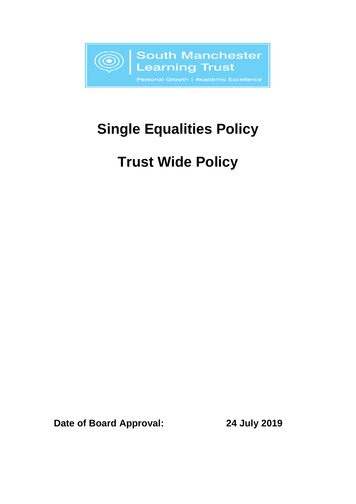

# **Single Equalities Policy**

# **Trust Wide Policy**

**Date of Board Approval: 24 July 2019**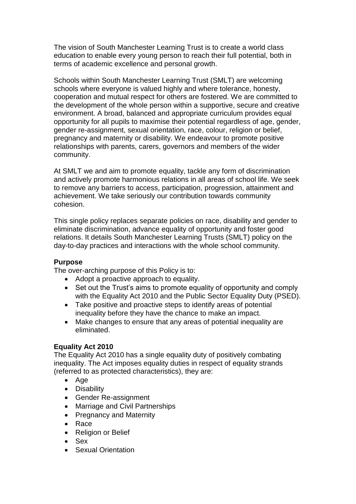The vision of South Manchester Learning Trust is to create a world class education to enable every young person to reach their full potential, both in terms of academic excellence and personal growth.

Schools within South Manchester Learning Trust (SMLT) are welcoming schools where everyone is valued highly and where tolerance, honesty, cooperation and mutual respect for others are fostered. We are committed to the development of the whole person within a supportive, secure and creative environment. A broad, balanced and appropriate curriculum provides equal opportunity for all pupils to maximise their potential regardless of age, gender, gender re-assignment, sexual orientation, race, colour, religion or belief, pregnancy and maternity or disability. We endeavour to promote positive relationships with parents, carers, governors and members of the wider community.

At SMLT we and aim to promote equality, tackle any form of discrimination and actively promote harmonious relations in all areas of school life. We seek to remove any barriers to access, participation, progression, attainment and achievement. We take seriously our contribution towards community cohesion.

This single policy replaces separate policies on race, disability and gender to eliminate discrimination, advance equality of opportunity and foster good relations. It details South Manchester Learning Trusts (SMLT) policy on the day-to-day practices and interactions with the whole school community.

# **Purpose**

The over-arching purpose of this Policy is to:

- Adopt a proactive approach to equality.
- Set out the Trust's aims to promote equality of opportunity and comply with the Equality Act 2010 and the Public Sector Equality Duty (PSED).
- Take positive and proactive steps to identify areas of potential inequality before they have the chance to make an impact.
- Make changes to ensure that any areas of potential inequality are eliminated.

#### **Equality Act 2010**

The Equality Act 2010 has a single equality duty of positively combating inequality. The Act imposes equality duties in respect of equality strands (referred to as protected characteristics), they are:

- Age
- Disability
- Gender Re-assignment
- Marriage and Civil Partnerships
- Pregnancy and Maternity
- Race
- Religion or Belief
- Sex
- Sexual Orientation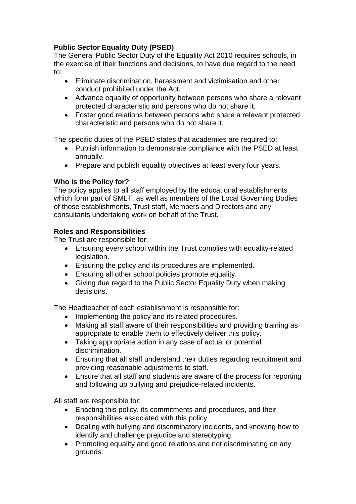# **Public Sector Equality Duty (PSED)**

The General Public Sector Duty of the Equality Act 2010 requires schools, in the exercise of their functions and decisions, to have due regard to the need to:

- Eliminate discrimination, harassment and victimisation and other conduct prohibited under the Act.
- Advance equality of opportunity between persons who share a relevant protected characteristic and persons who do not share it.
- Foster good relations between persons who share a relevant protected characteristic and persons who do not share it.

The specific duties of the PSED states that academies are required to:

- Publish information to demonstrate compliance with the PSED at least annually.
- Prepare and publish equality objectives at least every four years.

# **Who is the Policy for?**

The policy applies to all staff employed by the educational establishments which form part of SMLT, as well as members of the Local Governing Bodies of those establishments, Trust staff, Members and Directors and any consultants undertaking work on behalf of the Trust.

# **Roles and Responsibilities**

The Trust are responsible for:

- Ensuring every school within the Trust complies with equality-related legislation.
- Ensuring the policy and its procedures are implemented.
- Ensuring all other school policies promote equality.
- Giving due regard to the Public Sector Equality Duty when making decisions.

The Headteacher of each establishment is responsible for:

- Implementing the policy and its related procedures.
- Making all staff aware of their responsibilities and providing training as appropriate to enable them to effectively deliver this policy.
- Taking appropriate action in any case of actual or potential discrimination.
- Ensuring that all staff understand their duties regarding recruitment and providing reasonable adjustments to staff.
- Ensure that all staff and students are aware of the process for reporting and following up bullying and prejudice-related incidents.

All staff are responsible for:

- Enacting this policy, its commitments and procedures, and their responsibilities associated with this policy.
- Dealing with bullying and discriminatory incidents, and knowing how to identify and challenge prejudice and stereotyping.
- Promoting equality and good relations and not discriminating on any grounds.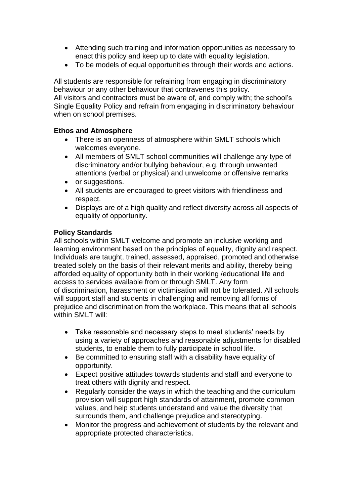- Attending such training and information opportunities as necessary to enact this policy and keep up to date with equality legislation.
- To be models of equal opportunities through their words and actions.

All students are responsible for refraining from engaging in discriminatory behaviour or any other behaviour that contravenes this policy. All visitors and contractors must be aware of, and comply with; the school's Single Equality Policy and refrain from engaging in discriminatory behaviour when on school premises.

# **Ethos and Atmosphere**

- There is an openness of atmosphere within SMLT schools which welcomes everyone.
- All members of SMLT school communities will challenge any type of discriminatory and/or bullying behaviour, e.g. through unwanted attentions (verbal or physical) and unwelcome or offensive remarks
- or suggestions.
- All students are encouraged to greet visitors with friendliness and respect.
- Displays are of a high quality and reflect diversity across all aspects of equality of opportunity.

#### **Policy Standards**

All schools within SMLT welcome and promote an inclusive working and learning environment based on the principles of equality, dignity and respect. Individuals are taught, trained, assessed, appraised, promoted and otherwise treated solely on the basis of their relevant merits and ability, thereby being afforded equality of opportunity both in their working /educational life and access to services available from or through SMLT. Any form of discrimination, harassment or victimisation will not be tolerated. All schools will support staff and students in challenging and removing all forms of prejudice and discrimination from the workplace. This means that all schools within SMLT will:

- Take reasonable and necessary steps to meet students' needs by using a variety of approaches and reasonable adjustments for disabled students, to enable them to fully participate in school life.
- Be committed to ensuring staff with a disability have equality of opportunity.
- Expect positive attitudes towards students and staff and everyone to treat others with dignity and respect.
- Regularly consider the ways in which the teaching and the curriculum provision will support high standards of attainment, promote common values, and help students understand and value the diversity that surrounds them, and challenge prejudice and stereotyping.
- Monitor the progress and achievement of students by the relevant and appropriate protected characteristics.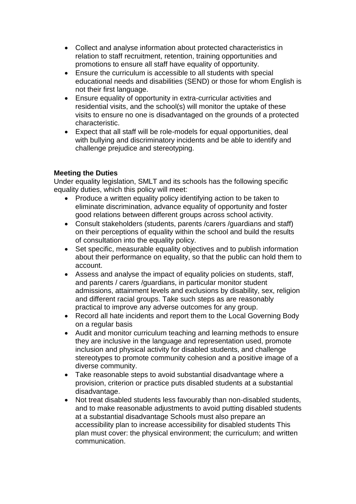- Collect and analyse information about protected characteristics in relation to staff recruitment, retention, training opportunities and promotions to ensure all staff have equality of opportunity.
- Ensure the curriculum is accessible to all students with special educational needs and disabilities (SEND) or those for whom English is not their first language.
- Ensure equality of opportunity in extra-curricular activities and residential visits, and the school(s) will monitor the uptake of these visits to ensure no one is disadvantaged on the grounds of a protected characteristic.
- Expect that all staff will be role-models for equal opportunities, deal with bullying and discriminatory incidents and be able to identify and challenge prejudice and stereotyping.

# **Meeting the Duties**

Under equality legislation, SMLT and its schools has the following specific equality duties, which this policy will meet:

- Produce a written equality policy identifying action to be taken to eliminate discrimination, advance equality of opportunity and foster good relations between different groups across school activity.
- Consult stakeholders (students, parents /carers /guardians and staff) on their perceptions of equality within the school and build the results of consultation into the equality policy.
- Set specific, measurable equality objectives and to publish information about their performance on equality, so that the public can hold them to account.
- Assess and analyse the impact of equality policies on students, staff, and parents / carers /guardians, in particular monitor student admissions, attainment levels and exclusions by disability, sex, religion and different racial groups. Take such steps as are reasonably practical to improve any adverse outcomes for any group.
- Record all hate incidents and report them to the Local Governing Body on a regular basis
- Audit and monitor curriculum teaching and learning methods to ensure they are inclusive in the language and representation used, promote inclusion and physical activity for disabled students, and challenge stereotypes to promote community cohesion and a positive image of a diverse community.
- Take reasonable steps to avoid substantial disadvantage where a provision, criterion or practice puts disabled students at a substantial disadvantage.
- Not treat disabled students less favourably than non-disabled students, and to make reasonable adjustments to avoid putting disabled students at a substantial disadvantage Schools must also prepare an accessibility plan to increase accessibility for disabled students This plan must cover: the physical environment; the curriculum; and written communication.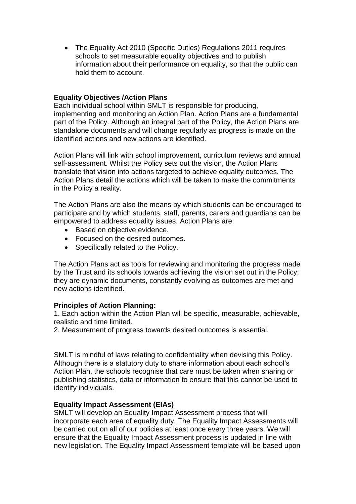The Equality Act 2010 (Specific Duties) Regulations 2011 requires schools to set measurable equality objectives and to publish information about their performance on equality, so that the public can hold them to account.

# **Equality Objectives /Action Plans**

Each individual school within SMLT is responsible for producing, implementing and monitoring an Action Plan. Action Plans are a fundamental part of the Policy. Although an integral part of the Policy, the Action Plans are standalone documents and will change regularly as progress is made on the identified actions and new actions are identified.

Action Plans will link with school improvement, curriculum reviews and annual self-assessment. Whilst the Policy sets out the vision, the Action Plans translate that vision into actions targeted to achieve equality outcomes. The Action Plans detail the actions which will be taken to make the commitments in the Policy a reality.

The Action Plans are also the means by which students can be encouraged to participate and by which students, staff, parents, carers and guardians can be empowered to address equality issues. Action Plans are:

- Based on objective evidence.
- Focused on the desired outcomes.
- Specifically related to the Policy.

The Action Plans act as tools for reviewing and monitoring the progress made by the Trust and its schools towards achieving the vision set out in the Policy; they are dynamic documents, constantly evolving as outcomes are met and new actions identified.

# **Principles of Action Planning:**

1. Each action within the Action Plan will be specific, measurable, achievable, realistic and time limited.

2. Measurement of progress towards desired outcomes is essential.

SMLT is mindful of laws relating to confidentiality when devising this Policy. Although there is a statutory duty to share information about each school's Action Plan, the schools recognise that care must be taken when sharing or publishing statistics, data or information to ensure that this cannot be used to identify individuals.

# **Equality Impact Assessment (EIAs)**

SMLT will develop an Equality Impact Assessment process that will incorporate each area of equality duty. The Equality Impact Assessments will be carried out on all of our policies at least once every three years. We will ensure that the Equality Impact Assessment process is updated in line with new legislation. The Equality Impact Assessment template will be based upon